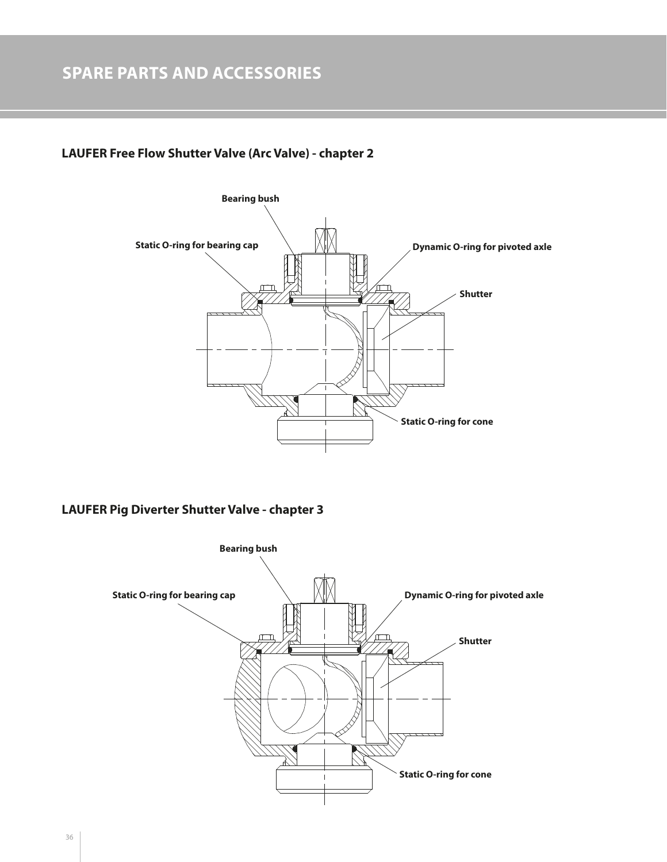## **LAUFER Free Flow Shutter Valve (Arc Valve) - chapter 2**



## **LAUFER Pig Diverter Shutter Valve - chapter 3**

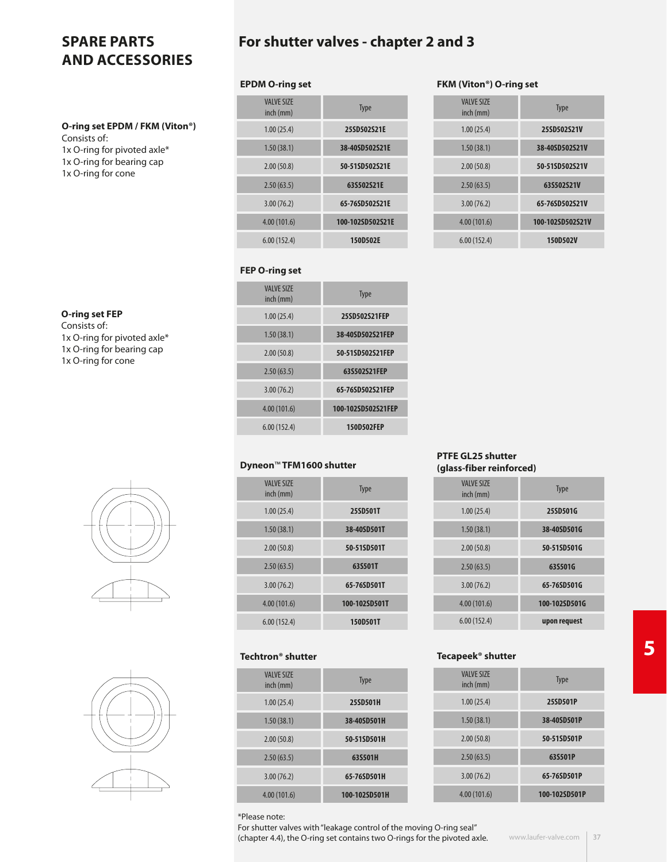### **O-ring set EPDM / FKM (Viton®)**

Consists of: 1x O-ring for pivoted axle\* 1x O-ring for bearing cap 1x O-ring for cone

**O-ring set FEP** Consists of:

1x O-ring for pivoted axle\* 1x O-ring for bearing cap 1x O-ring for cone

## **For shutter valves - chapter 2 and 3**

#### **EPDM O-ring set**

| <b>VAIVE SIZE</b><br>inch (mm) | <b>Type</b>      |
|--------------------------------|------------------|
| 1.00(25.4)                     | 25SD502S21E      |
| 1.50(38.1)                     | 38-40SD502S21E   |
| 2.00(50.8)                     | 50-51SD502S21E   |
| 2.50(63.5)                     | 63S502S21E       |
| 3.00(76.2)                     | 65-76SD502S21E   |
| 4.00(101.6)                    | 100-102SD502S21E |
| 6.00(152.4)                    | 150D502E         |

## **FEP O-ring set**

| <b>Type</b>        | <b>VALVE SIZE</b><br>inch (mm) |
|--------------------|--------------------------------|
| 25SD502S21FEP      | 1.00(25.4)                     |
| 38-40SD502S21FEP   | 1.50(38.1)                     |
| 50-51SD502S21FEP   | 2.00(50.8)                     |
| 63S502S21FEP       | 2.50(63.5)                     |
| 65-76SD502S21FEP   | 3.00(76.2)                     |
| 100-102SD502S21FEP | 4.00 (101.6)                   |
| 150D502FEP         | 6.00(152.4)                    |
|                    |                                |

#### **Dyneon**™ **TFM1600 shutter**

| <b>Type</b>   | <b>VALVE SIZE</b><br>inch (mm) |
|---------------|--------------------------------|
| 25SD501T      | 1.00(25.4)                     |
| 38-40SD501T   | 1.50(38.1)                     |
| 50-51SD501T   | 2.00(50.8)                     |
| 63S501T       | 2.50(63.5)                     |
| 65-76SD501T   | 3.00(76.2)                     |
| 100-102SD501T | 4.00 (101.6)                   |
| 150D501T      | 6.00(152.4)                    |
|               |                                |

## **Techtron® shutter**

| <b>Type</b>   | <b>VAIVE SIZE</b><br>inch (mm) |
|---------------|--------------------------------|
| 25SD501H      | 1.00(25.4)                     |
| 38-40SD501H   | 1.50(38.1)                     |
| 50-51SD501H   | 2.00(50.8)                     |
| 63S501H       | 2.50(63.5)                     |
| 65-76SD501H   | 3.00(76.2)                     |
| 100-102SD501H | 4.00(101.6)                    |

#### **PTFE GL25 shutter (glass-fiber reinforced)**

**FKM (Viton®) O-ring set** VALVE SIZE

valve size<br>
inch (mm) Type 1.00 (25.4) **25SD502S21V** 1.50 (38.1) **38-40SD502S21V** 2.00 (50.8) **50-51SD502S21V** 2.50 (63.5) **63S502S21V** 3.00 (76.2) **65-76SD502S21V** 4.00 (101.6) **100-102SD502S21V** 6.00 (152.4) **150D502V**

| <b>VAIVE SIZE</b><br>inch (mm) | <b>Type</b>   |
|--------------------------------|---------------|
| 1.00(25.4)                     | 25SD501G      |
| 1.50(38.1)                     | 38-40SD501G   |
| 2.00(50.8)                     | 50-51SD501G   |
| 2.50(63.5)                     | 63S501G       |
| 3.00(76.2)                     | 65-76SD501G   |
| 4.00(101.6)                    | 100-102SD501G |
| 6.00(152.4)                    | upon request  |

#### **Tecapeek® shutter**

| <b>Type</b>   | <b>VAIVE SIZE</b><br>inch (mm) |
|---------------|--------------------------------|
| 25SD501P      | 1.00(25.4)                     |
| 38-40SD501P   | 1.50(38.1)                     |
| 50-51SD501P   | 2.00(50.8)                     |
| 63S501P       | 2.50(63.5)                     |
| 65-76SD501P   | 3.00(76.2)                     |
| 100-102SD501P | 4.00(101.6)                    |



\*Please note:

**(chapter 4.4), the O-ring set contains two O-rings for the pivoted axle.** Manumum and we alwe. Com  $\mid$  37 For shutter valves with "leakage control of the moving O-ring seal"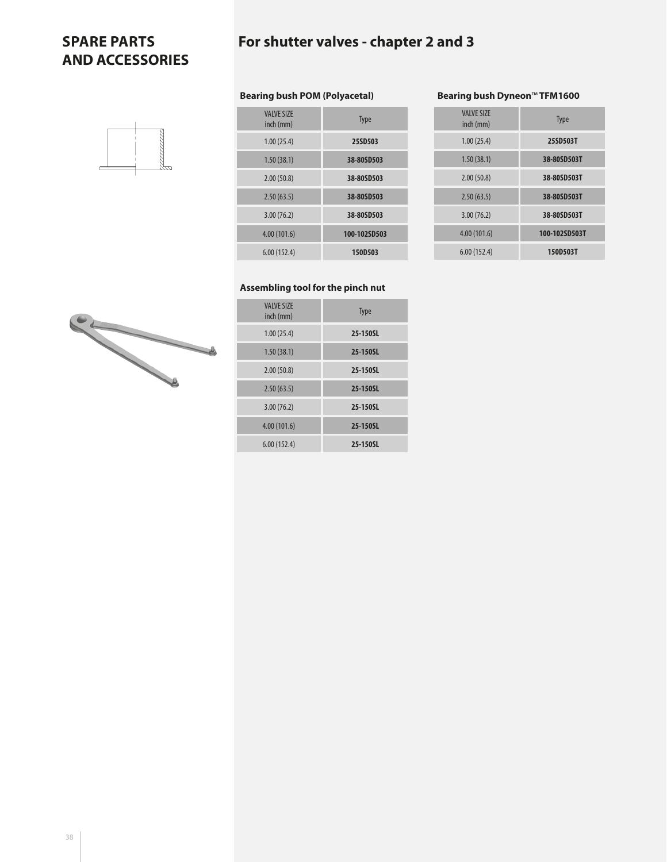# **For shutter valves - chapter 2 and 3**

# mmn

| Type         | <b>VALVE SIZE</b><br>inch (mm) |
|--------------|--------------------------------|
| 25SD503      | 1.00(25.4)                     |
| 38-80SD503   | 1.50(38.1)                     |
| 38-80SD503   | 2.00(50.8)                     |
| 38-80SD503   | 2.50(63.5)                     |
| 38-80SD503   | 3.00(76.2)                     |
| 100-102SD503 | 4.00(101.6)                    |
| 150D503      | 6.00(152.4)                    |

**Bearing bush POM (Polyacetal)**

#### **Bearing bush Dyneon**™ **TFM1600**

| <b>Type</b>   | <b>VALVE SIZE</b><br>inch (mm) |
|---------------|--------------------------------|
| 25SD503T      | 1.00(25.4)                     |
| 38-80SD503T   | 1.50(38.1)                     |
| 38-80SD503T   | 2.00(50.8)                     |
| 38-80SD503T   | 2.50(63.5)                     |
| 38-80SD503T   | 3.00(76.2)                     |
| 100-102SD503T | 4.00(101.6)                    |
| 150D503T      | 6.00(152.4)                    |

## **Assembling tool for the pinch nut**

| <b>VALVE SIZE</b><br>inch (mm) | <b>Type</b> |
|--------------------------------|-------------|
| 1.00(25.4)                     | 25-150SL    |
| 1.50(38.1)                     | 25-150SL    |
| 2.00(50.8)                     | 25-150SL    |
| 2.50(63.5)                     | 25-150SL    |
| 3.00(76.2)                     | 25-150SL    |
| 4.00(101.6)                    | 25-150SL    |
| 6.00(152.4)                    | 25-150SL    |

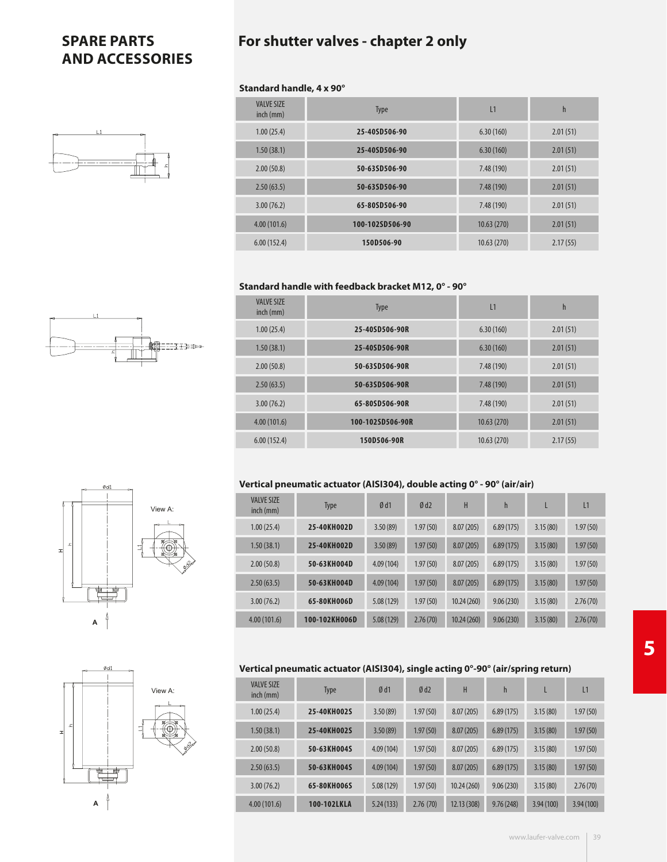# **For shutter valves - chapter 2 only**

#### **Standard handle, 4 x 90°**

| <b>VALVE SIZE</b><br>inch (mm) | <b>Type</b>     | L1         | h        |  |
|--------------------------------|-----------------|------------|----------|--|
| 1.00(25.4)                     | 25-40SD506-90   | 6.30(160)  | 2.01(51) |  |
| 1.50(38.1)                     | 25-40SD506-90   | 6.30(160)  | 2.01(51) |  |
| 2.00(50.8)                     | 50-63SD506-90   | 7.48 (190) | 2.01(51) |  |
| 2.50(63.5)                     | 50-63SD506-90   | 7.48 (190) | 2.01(51) |  |
| 3.00(76.2)                     | 65-80SD506-90   | 7.48 (190) | 2.01(51) |  |
| 4.00(101.6)                    | 100-102SD506-90 | 10.63(270) | 2.01(51) |  |
| 6.00(152.4)                    | 150D506-90      | 10.63(270) | 2.17(55) |  |

#### **Standard handle with feedback bracket M12, 0° - 90°**

| <b>VALVE SIZE</b><br>inch (mm) | <b>Type</b>      | L1          | h        |
|--------------------------------|------------------|-------------|----------|
| 1.00(25.4)                     | 25-40SD506-90R   | 6.30(160)   | 2.01(51) |
| 1.50(38.1)                     | 25-40SD506-90R   | 6.30(160)   | 2.01(51) |
| 2.00(50.8)                     | 50-63SD506-90R   | 7.48 (190)  | 2.01(51) |
| 2.50(63.5)                     | 50-63SD506-90R   | 7.48 (190)  | 2.01(51) |
| 3.00(76.2)                     | 65-80SD506-90R   | 7.48 (190)  | 2.01(51) |
| 4.00(101.6)                    | 100-102SD506-90R | 10.63(270)  | 2.01(51) |
| 6.00(152.4)                    | 150D506-90R      | 10.63 (270) | 2.17(55) |

#### **Vertical pneumatic actuator (AISI304), double acting 0° - 90° (air/air)**

| <b>VALVE SIZE</b><br>$inch$ (mm) | <b>Type</b>   | Ød1       | Ød2      | H          | h         |          | L1       |
|----------------------------------|---------------|-----------|----------|------------|-----------|----------|----------|
| 1.00(25.4)                       | 25-40KH002D   | 3.50(89)  | 1.97(50) | 8.07(205)  | 6.89(175) | 3.15(80) | 1.97(50) |
| 1.50(38.1)                       | 25-40KH002D   | 3.50(89)  | 1.97(50) | 8.07(205)  | 6.89(175) | 3.15(80) | 1.97(50) |
| 2.00(50.8)                       | 50-63KH004D   | 4.09(104) | 1.97(50) | 8.07(205)  | 6.89(175) | 3.15(80) | 1.97(50) |
| 2.50(63.5)                       | 50-63KH004D   | 4.09(104) | 1.97(50) | 8.07(205)  | 6.89(175) | 3.15(80) | 1.97(50) |
| 3.00(76.2)                       | 65-80KH006D   | 5.08(129) | 1.97(50) | 10.24(260) | 9.06(230) | 3.15(80) | 2.76(70) |
| 4.00(101.6)                      | 100-102KH006D | 5.08(129) | 2.76(70) | 10.24(260) | 9.06(230) | 3.15(80) | 2.76(70) |

#### **Vertical pneumatic actuator (AISI304), single acting 0°-90° (air/spring return)**

| <b>VALVE SIZE</b><br>$inch$ (mm) | <b>Type</b> | Ød1       | Ød2      | Н           | $\mathsf{h}$ | L         | L1        |
|----------------------------------|-------------|-----------|----------|-------------|--------------|-----------|-----------|
| 1.00(25.4)                       | 25-40KH002S | 3.50(89)  | 1.97(50) | 8.07(205)   | 6.89(175)    | 3.15(80)  | 1.97(50)  |
| 1.50(38.1)                       | 25-40KH002S | 3.50(89)  | 1.97(50) | 8.07(205)   | 6.89(175)    | 3.15(80)  | 1.97(50)  |
| 2.00(50.8)                       | 50-63KH004S | 4.09(104) | 1.97(50) | 8.07(205)   | 6.89(175)    | 3.15(80)  | 1.97(50)  |
| 2.50(63.5)                       | 50-63KH004S | 4.09(104) | 1.97(50) | 8.07(205)   | 6.89(175)    | 3.15(80)  | 1.97(50)  |
| 3.00(76.2)                       | 65-80KH006S | 5.08(129) | 1.97(50) | 10.24(260)  | 9.06(230)    | 3.15(80)  | 2.76(70)  |
| 4.00(101.6)                      | 100-102LKLA | 5.24(133) | 2.76(70) | 12.13 (308) | 9.76(248)    | 3.94(100) | 3.94(100) |



∃⊞≫



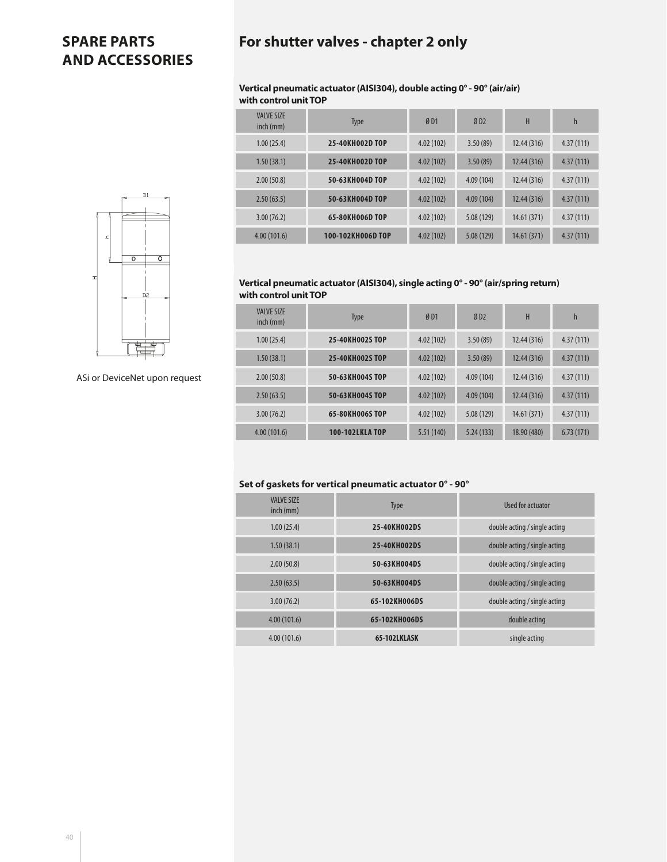## **For shutter valves - chapter 2 only**

#### **Vertical pneumatic actuator (AISI304), double acting 0° - 90° (air/air) with control unit TOP**

| <b>VALVE SIZE</b><br>$inch$ (mm) | <b>Type</b>       | ØD1       | ØD2        | H           | $\mathsf{h}$ |
|----------------------------------|-------------------|-----------|------------|-------------|--------------|
| 1.00(25.4)                       | 25-40KH002D TOP   | 4.02(102) | 3.50(89)   | 12.44 (316) | 4.37(111)    |
| 1.50(38.1)                       | 25-40KH002D TOP   | 4.02(102) | 3.50(89)   | 12.44(316)  | 4.37(111)    |
| 2.00(50.8)                       | 50-63KH004D TOP   | 4.02(102) | 4.09(104)  | 12.44 (316) | 4.37(111)    |
| 2.50(63.5)                       | 50-63KH004D TOP   | 4.02(102) | 4.09(104)  | 12.44 (316) | 4.37(111)    |
| 3.00(76.2)                       | 65-80KH006D TOP   | 4.02(102) | 5.08 (129) | 14.61 (371) | 4.37(111)    |
| 4.00(101.6)                      | 100-102KH006D TOP | 4.02(102) | 5.08 (129) | 14.61 (371) | 4.37(111)    |



| <b>VALVE SIZE</b><br>$inch$ (mm) | <b>Type</b>           | ØD1       | ØD2        | Н           | $\mathsf{h}$ |
|----------------------------------|-----------------------|-----------|------------|-------------|--------------|
| 1.00(25.4)                       | 25-40KH002S TOP       | 4.02(102) | 3.50(89)   | 12.44 (316) | 4.37(111)    |
| 1.50(38.1)                       | 25-40KH002S TOP       | 4.02(102) | 3.50(89)   | 12.44 (316) | 4.37(111)    |
| 2.00(50.8)                       | 50-63KH004ST0P        | 4.02(102) | 4.09(104)  | 12.44 (316) | 4.37(111)    |
| 2.50(63.5)                       | 50-63KH004ST0P        | 4.02(102) | 4.09(104)  | 12.44 (316) | 4.37(111)    |
| 3.00(76.2)                       | 65-80KH006ST0P        | 4.02(102) | 5.08 (129) | 14.61(371)  | 4.37(111)    |
| 4.00(101.6)                      | <b>100-102LKLATOP</b> | 5.51(140) | 5.24(133)  | 18.90 (480) | 6.73(171)    |

#### **Set of gaskets for vertical pneumatic actuator 0° - 90°**

| <b>VAIVE SIZE</b><br>inch (mm) | Type          | Used for actuator             |
|--------------------------------|---------------|-------------------------------|
| 1.00(25.4)                     | 25-40KH002DS  | double acting / single acting |
| 1.50(38.1)                     | 25-40KH002DS  | double acting / single acting |
| 2.00(50.8)                     | 50-63KH004DS  | double acting / single acting |
| 2.50(63.5)                     | 50-63KH004DS  | double acting / single acting |
| 3.00(76.2)                     | 65-102KH006DS | double acting / single acting |
| 4.00(101.6)                    | 65-102KH006DS | double acting                 |
| 4.00(101.6)                    | 65-102LKLASK  | single acting                 |



ASi or DeviceNet upon request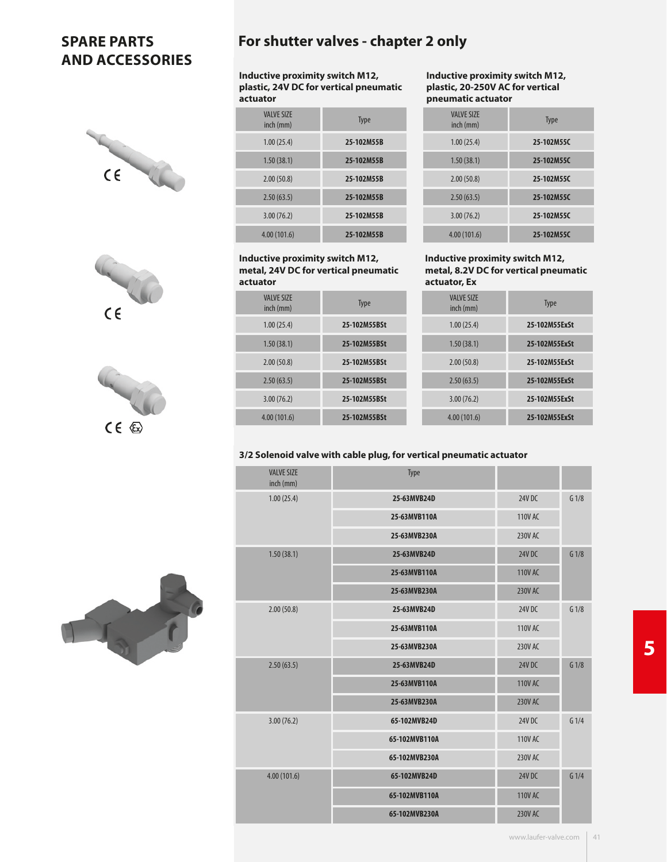





## **For shutter valves - chapter 2 only**

**Inductive proximity switch M12, plastic, 24V DC for vertical pneumatic actuator**

| <b>VALVE SIZE</b><br>inch (mm) | <b>Type</b> |
|--------------------------------|-------------|
| 1.00(25.4)                     | 25-102M55B  |
| 1.50(38.1)                     | 25-102M55B  |
| 2.00(50.8)                     | 25-102M55B  |
| 2.50(63.5)                     | 25-102M55B  |
| 3.00(76.2)                     | 25-102M55B  |
| 4.00(101.6)                    | 25-102M55B  |

#### **Inductive proximity switch M12, metal, 24V DC for vertical pneumatic actuator**

| <b>VAIVE SIZE</b><br>inch (mm) | <b>Type</b>  |
|--------------------------------|--------------|
| 1.00(25.4)                     | 25-102M55BSt |
| 1.50(38.1)                     | 25-102M55BSt |
| 2.00(50.8)                     | 25-102M55BSt |
| 2.50(63.5)                     | 25-102M55BSt |
| 3.00(76.2)                     | 25-102M55BSt |
| 4.00(101.6)                    | 25-102M55BSt |

**Inductive proximity switch M12, plastic, 20-250V AC for vertical pneumatic actuator**

| <b>VALVE SIZE</b><br>inch (mm) | <b>Type</b> |
|--------------------------------|-------------|
| 1.00(25.4)                     | 25-102M55C  |
| 1.50(38.1)                     | 25-102M55C  |
| 2.00(50.8)                     | 25-102M55C  |
| 2.50(63.5)                     | 25-102M55C  |
| 3.00(76.2)                     | 25-102M55C  |
| 4.00(101.6)                    | 25-102M55C  |

#### **Inductive proximity switch M12, metal, 8.2V DC for vertical pneumatic actuator, Ex**

|               | ~~~~~~~~~~~                    |
|---------------|--------------------------------|
| <b>Type</b>   | <b>VALVE SIZE</b><br>inch (mm) |
| 25-102M55ExSt | 1.00(25.4)                     |
| 25-102M55ExSt | 1.50(38.1)                     |
| 25-102M55ExSt | 2.00(50.8)                     |
| 25-102M55ExSt | 2.50(63.5)                     |
| 25-102M55ExSt | 3.00(76.2)                     |
| 25-102M55ExSt | 4.00(101.6)                    |

#### **3/2 Solenoid valve with cable plug, for vertical pneumatic actuator**

| <b>VALVE SIZE</b><br>inch (mm) | Type          |                |                  |
|--------------------------------|---------------|----------------|------------------|
| 1.00(25.4)                     | 25-63MVB24D   | 24V DC         | G <sub>1/8</sub> |
|                                | 25-63MVB110A  | 110V AC        |                  |
|                                | 25-63MVB230A  | 230V AC        |                  |
| 1.50(38.1)                     | 25-63MVB24D   | <b>24V DC</b>  | G1/8             |
|                                | 25-63MVB110A  | <b>110V AC</b> |                  |
|                                | 25-63MVB230A  | <b>230V AC</b> |                  |
| 2.00(50.8)                     | 25-63MVB24D   | 24V DC         | G1/8             |
|                                | 25-63MVB110A  | <b>110V AC</b> |                  |
|                                | 25-63MVB230A  | 230V AC        |                  |
| 2.50(63.5)                     | 25-63MVB24D   | <b>24V DC</b>  | G1/8             |
|                                | 25-63MVB110A  | <b>110V AC</b> |                  |
|                                | 25-63MVB230A  | <b>230V AC</b> |                  |
| 3.00(76.2)                     | 65-102MVB24D  | 24V DC         | G1/4             |
|                                | 65-102MVB110A | <b>110V AC</b> |                  |
|                                | 65-102MVB230A | 230V AC        |                  |
| 4.00(101.6)                    | 65-102MVB24D  | <b>24V DC</b>  | G1/4             |
|                                | 65-102MVB110A | <b>110V AC</b> |                  |
|                                | 65-102MVB230A | <b>230V AC</b> |                  |

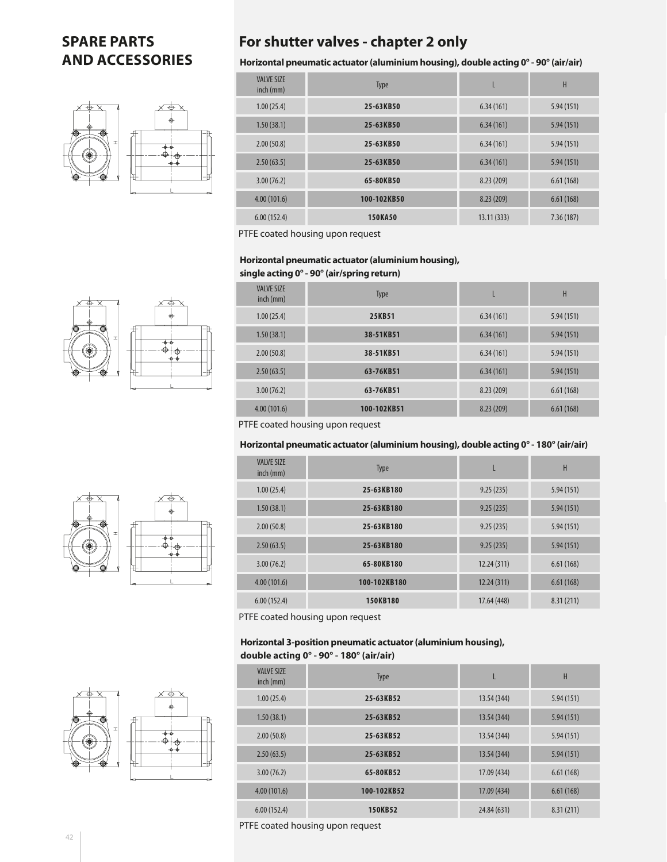

## **For shutter valves - chapter 2 only**

**Horizontal pneumatic actuator (aluminium housing), double acting 0° - 90° (air/air)**

| <b>VALVE SIZE</b><br>inch (mm) | Type           | L          | H         |
|--------------------------------|----------------|------------|-----------|
| 1.00(25.4)                     | 25-63KB50      | 6.34(161)  | 5.94(151) |
| 1.50(38.1)                     | 25-63KB50      | 6.34(161)  | 5.94(151) |
| 2.00(50.8)                     | 25-63KB50      | 6.34(161)  | 5.94(151) |
| 2.50(63.5)                     | 25-63KB50      | 6.34(161)  | 5.94(151) |
| 3.00(76.2)                     | 65-80KB50      | 8.23(209)  | 6.61(168) |
| 4.00(101.6)                    | 100-102KB50    | 8.23 (209) | 6.61(168) |
| 6.00(152.4)                    | <b>150KA50</b> | 13.11(333) | 7.36(187) |

PTFE coated housing upon request

#### **Horizontal pneumatic actuator (aluminium housing), single acting 0° - 90° (air/spring return)**

| <b>VALVE SIZE</b><br>inch (mm) | <b>Type</b> |           | H         |
|--------------------------------|-------------|-----------|-----------|
| 1.00(25.4)                     | 25KB51      | 6.34(161) | 5.94(151) |
| 1.50(38.1)                     | 38-51KB51   | 6.34(161) | 5.94(151) |
| 2.00(50.8)                     | 38-51KB51   | 6.34(161) | 5.94(151) |
| 2.50(63.5)                     | 63-76KB51   | 6.34(161) | 5.94(151) |
| 3.00(76.2)                     | 63-76KB51   | 8.23(209) | 6.61(168) |
| 4.00(101.6)                    | 100-102KB51 | 8.23(209) | 6.61(168) |

PTFE coated housing upon request

#### **Horizontal pneumatic actuator (aluminium housing), double acting 0° - 180° (air/air)**

| <b>VALVE SIZE</b><br>inch (mm) | <b>Type</b>  | L           | H         |
|--------------------------------|--------------|-------------|-----------|
| 1.00(25.4)                     | 25-63KB180   | 9.25(235)   | 5.94(151) |
| 1.50(38.1)                     | 25-63KB180   | 9.25(235)   | 5.94(151) |
| 2.00(50.8)                     | 25-63KB180   | 9.25(235)   | 5.94(151) |
| 2.50(63.5)                     | 25-63KB180   | 9.25(235)   | 5.94(151) |
| 3.00(76.2)                     | 65-80KB180   | 12.24(311)  | 6.61(168) |
| 4.00(101.6)                    | 100-102KB180 | 12.24 (311) | 6.61(168) |
| 6.00(152.4)                    | 150KB180     | 17.64 (448) | 8.31(211) |

PTFE coated housing upon request

#### **Horizontal 3-position pneumatic actuator (aluminium housing), double acting 0° - 90° - 180° (air/air)**

| . <u>.</u>                     |             |             |           |
|--------------------------------|-------------|-------------|-----------|
| <b>VALVE SIZE</b><br>inch (mm) | Type        |             | H         |
| 1.00(25.4)                     | 25-63KB52   | 13.54 (344) | 5.94(151) |
| 1.50(38.1)                     | 25-63KB52   | 13.54 (344) | 5.94(151) |
| 2.00(50.8)                     | 25-63KB52   | 13.54 (344) | 5.94(151) |
| 2.50(63.5)                     | 25-63KB52   | 13.54 (344) | 5.94(151) |
| 3.00(76.2)                     | 65-80KB52   | 17.09 (434) | 6.61(168) |
| 4.00(101.6)                    | 100-102KB52 | 17.09 (434) | 6.61(168) |
| 6.00(152.4)                    | 150KB52     | 24.84 (631) | 8.31(211) |

PTFE coated housing upon request





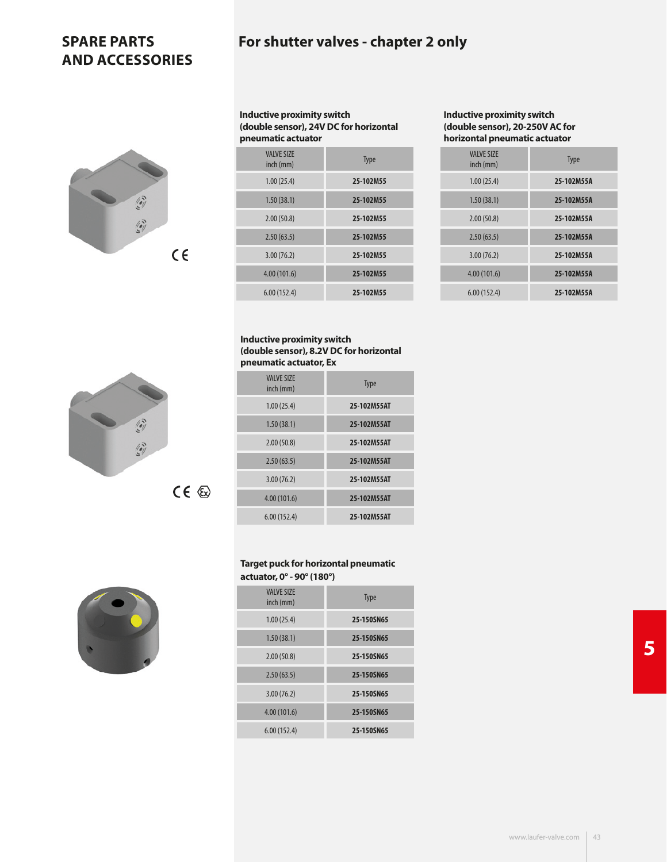

**Inductive proximity switch (double sensor), 24V DC for horizontal pneumatic actuator** 

| <b>VAIVE SIZE</b><br>inch (mm) | <b>Type</b> |
|--------------------------------|-------------|
| 1.00(25.4)                     | 25-102M55   |
| 1.50(38.1)                     | 25-102M55   |
| 2.00(50.8)                     | 25-102M55   |
| 2.50(63.5)                     | 25-102M55   |
| 3.00(76.2)                     | 25-102M55   |
| 4.00(101.6)                    | 25-102M55   |
| 6.00(152.4)                    | 25-102M55   |

#### **Inductive proximity switch (double sensor), 20-250V AC for horizontal pneumatic actuator**

| <b>Type</b> | <b>VALVE SIZE</b><br>inch (mm) |
|-------------|--------------------------------|
| 25-102M55A  | 1.00(25.4)                     |
| 25-102M55A  | 1.50(38.1)                     |
| 25-102M55A  | 2.00(50.8)                     |
| 25-102M55A  | 2.50(63.5)                     |
| 25-102M55A  | 3.00(76.2)                     |
| 25-102M55A  | 4.00(101.6)                    |
| 25-102M55A  | 6.00(152.4)                    |

#### **Inductive proximity switch (double sensor), 8.2V DC for horizontal pneumatic actuator, Ex**

| <b>VAIVE SIZE</b><br>inch (mm) | Type        |
|--------------------------------|-------------|
| 1.00(25.4)                     | 25-102M55AT |
| 1.50(38.1)                     | 25-102M55AT |
| 2.00(50.8)                     | 25-102M55AT |
| 2.50(63.5)                     | 25-102M55AT |
| 3.00(76.2)                     | 25-102M55AT |
| 4.00(101.6)                    | 25-102M55AT |
| 6.00(152.4)                    | 25-102M55AT |

#### **Target puck for horizontal pneumatic actuator, 0° - 90° (180°)**

| <b>VALVE SIZE</b><br>inch (mm) | <b>Type</b> |
|--------------------------------|-------------|
| 1.00(25.4)                     | 25-150SN65  |
| 1.50(38.1)                     | 25-150SN65  |
| 2.00(50.8)                     | 25-150SN65  |
| 2.50(63.5)                     | 25-150SN65  |
| 3.00(76.2)                     | 25-150SN65  |
| 4.00(101.6)                    | 25-150SN65  |
| 6.00(152.4)                    | 25-150SN65  |
|                                |             |

**5**



 $CE \&$ 

I

I

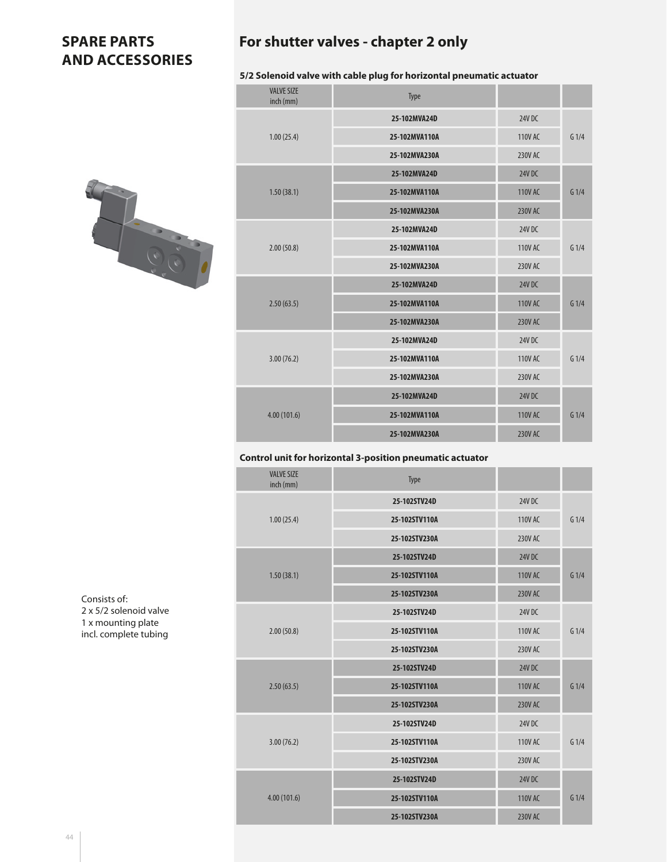

|  | For shutter valves - chapter 2 only |  |  |  |  |
|--|-------------------------------------|--|--|--|--|
|--|-------------------------------------|--|--|--|--|

#### **5/2 Solenoid valve with cable plug for horizontal pneumatic actuator**

| <b>VALVE SIZE</b><br>inch (mm) | <b>Type</b>   |                |                  |
|--------------------------------|---------------|----------------|------------------|
|                                | 25-102MVA24D  | 24V DC         |                  |
| 1.00(25.4)                     | 25-102MVA110A | <b>110V AC</b> | G1/4             |
|                                | 25-102MVA230A | <b>230V AC</b> |                  |
|                                | 25-102MVA24D  | 24V DC         |                  |
| 1.50(38.1)                     | 25-102MVA110A | <b>110V AC</b> | G1/4             |
|                                | 25-102MVA230A | <b>230V AC</b> |                  |
|                                | 25-102MVA24D  | <b>24V DC</b>  |                  |
| 2.00(50.8)                     | 25-102MVA110A | <b>110V AC</b> | G <sub>1/4</sub> |
|                                | 25-102MVA230A | 230V AC        |                  |
|                                | 25-102MVA24D  | 24V DC         |                  |
| 2.50(63.5)                     | 25-102MVA110A | <b>110V AC</b> | G <sub>1/4</sub> |
|                                | 25-102MVA230A | <b>230V AC</b> |                  |
|                                | 25-102MVA24D  | <b>24V DC</b>  |                  |
| 3.00(76.2)                     | 25-102MVA110A | <b>110V AC</b> | G1/4             |
|                                | 25-102MVA230A | 230V AC        |                  |
|                                | 25-102MVA24D  | <b>24V DC</b>  |                  |
| 4.00(101.6)                    | 25-102MVA110A | <b>110V AC</b> | G <sub>1/4</sub> |
|                                | 25-102MVA230A | <b>230V AC</b> |                  |

#### **Control unit for horizontal 3-position pneumatic actuator**

| <b>VALVE SIZE</b><br>inch (mm) | Type          |                |                  |
|--------------------------------|---------------|----------------|------------------|
|                                | 25-102STV24D  | 24V DC         |                  |
| 1.00(25.4)                     | 25-102STV110A | <b>110V AC</b> | G1/4             |
|                                | 25-102STV230A | 230V AC        |                  |
|                                | 25-102STV24D  | <b>24V DC</b>  |                  |
| 1.50(38.1)                     | 25-102STV110A | <b>110V AC</b> | G1/4             |
|                                | 25-102STV230A | <b>230V AC</b> |                  |
|                                | 25-102STV24D  | 24V DC         |                  |
| 2.00(50.8)                     | 25-102STV110A | <b>110V AC</b> | G <sub>1/4</sub> |
|                                | 25-102STV230A | 230V AC        |                  |
|                                | 25-102STV24D  | <b>24V DC</b>  |                  |
| 2.50(63.5)                     | 25-102STV110A | <b>110V AC</b> | G1/4             |
|                                | 25-102STV230A | <b>230V AC</b> |                  |
|                                | 25-102STV24D  | 24V DC         |                  |
| 3.00(76.2)                     | 25-102STV110A | <b>110V AC</b> | G1/4             |
|                                | 25-102STV230A | 230V AC        |                  |
|                                | 25-102STV24D  | <b>24V DC</b>  |                  |
| 4.00(101.6)                    | 25-102STV110A | <b>110V AC</b> | G1/4             |
|                                | 25-102STV230A | <b>230V AC</b> |                  |

Consists of: 2 x 5/2 solenoid valve 1 x mounting plate incl. complete tubing